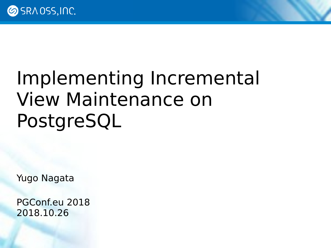# Implementing Incremental View Maintenance on PostgreSQL

Yugo Nagata

PGConf.eu 2018 2018.10.26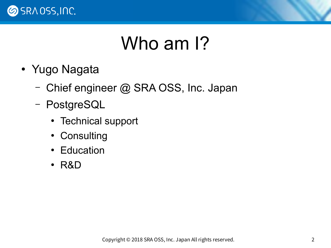

#### Who am I?

- Yugo Nagata
	- Chief engineer @ SRA OSS, Inc. Japan
	- PostgreSQL
		- Technical support
		- Consulting
		- Education
		- R&D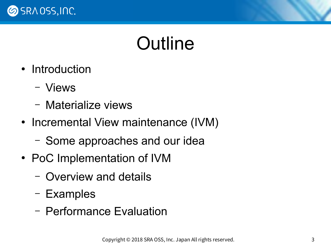

#### Outline

- Introduction
	- Views
	- Materialize views
- Incremental View maintenance (IVM)
	- Some approaches and our idea
- PoC Implementation of IVM
	- Overview and details
	- Examples
	- Performance Evaluation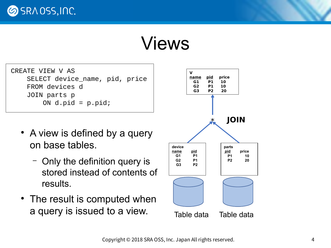**SRAOSS, INC.** 

#### Views

| CREATE VIEW V AS               |  |
|--------------------------------|--|
| SELECT device_name, pid, price |  |
| FROM devices d                 |  |
| JOIN parts p                   |  |
| ON $d$ .pid = $p$ .pid;        |  |

- A view is defined by a query on base tables.
	- Only the definition query is stored instead of contents of results.
- The result is computed when a query is issued to a view. Table data Table data

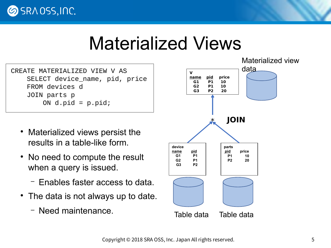**SRAOSS, INC.** 

#### Materialized Views

CREATE MATERIALIZED VIEW V AS SELECT device\_name, pid, price FROM devices d JOIN parts p ON  $d$ .pid =  $p$ .pid;

- Materialized views persist the results in a table-like form.
- No need to compute the result when a query is issued.
	- Enables faster access to data.
- The data is not always up to date.
	- Need maintenance.

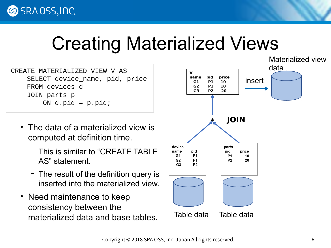#### Creating Materialized Views

CREATE MATERIALIZED VIEW V AS SELECT device\_name, pid, price FROM devices d JOIN parts p ON  $d$ .pid =  $p$ .pid;

- The data of a materialized view is computed at definition time.
	- This is similar to "CREATE TABLE AS" statement.
	- The result of the definition query is inserted into the materialized view.
- Need maintenance to keep consistency between the materialized data and base tables.

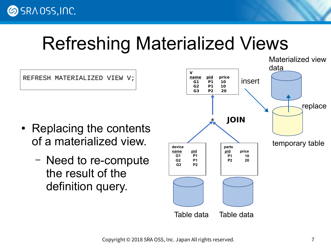#### Refreshing Materialized Views

REFRESH MATERIALIZED VIEW V;

- Replacing the contents of a materialized view.
	- Need to re-compute the result of the definition query.

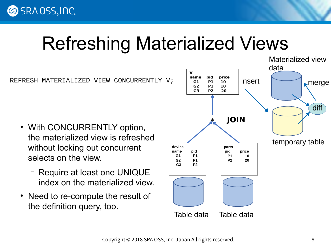#### Refreshing Materialized Views



- With CONCURRENTLY option, the materialized view is refreshed without locking out concurrent selects on the view.
	- Require at least one UNIQUE index on the materialized view.
- Need to re-compute the result of the definition query, too.

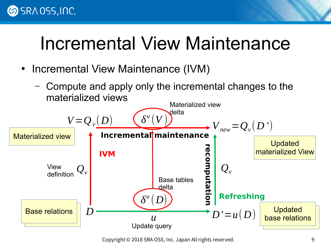#### **SRAOSS, INC.**

#### Incremental View Maintenance

- Incremental View Maintenance (IVM)
	- Compute and apply only the incremental changes to the materialized views



Copyright © 2018 SRA OSS, Inc. Japan All rights reserved. 9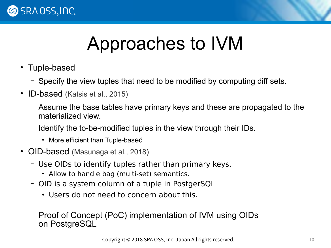

#### Approaches to IVM

- Tuple-based
	- Specify the view tuples that need to be modified by computing diff sets.
- ID-based (Katsis et al., 2015)
	- Assume the base tables have primary keys and these are propagated to the materialized view.
	- Identify the to-be-modified tuples in the view through their IDs.
		- More efficient than Tuple-based
- OID-based (Masunaga et al., 2018)
	- Use OIDs to identify tuples rather than primary keys.
		- Allow to handle bag (multi-set) semantics.
	- OID is a system column of a tuple in PostgerSQL
		- Users do not need to concern about this.

Proof of Concept (PoC) implementation of IVM using OIDs on PostgreSQL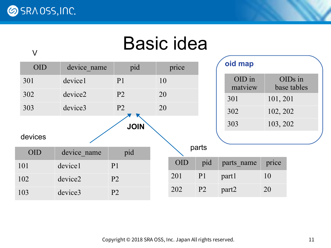V

#### Basic idea

| <b>OID</b> | device name | pid            | price |            |                | oid map           |          |                        |  |
|------------|-------------|----------------|-------|------------|----------------|-------------------|----------|------------------------|--|
| 301        | device1     | P <sub>1</sub> | 10    |            |                | OID in<br>matview |          | OIDs in<br>base tables |  |
| 302        | device2     | P <sub>2</sub> | 20    |            |                | 301               | 101, 201 |                        |  |
| 303        | device3     | P <sub>2</sub> |       | 20         |                | 302               | 102, 202 |                        |  |
|            |             | <b>JOIN</b>    |       |            |                | 303               | 103, 202 |                        |  |
| devices    |             |                |       |            |                |                   |          |                        |  |
| <b>OID</b> | device name | pid            |       |            | parts          |                   |          |                        |  |
| 101        | device1     | P <sub>1</sub> |       | <b>OID</b> | pid            | parts name        | price    |                        |  |
| 102        | device2     | P <sub>2</sub> |       | 201        | P <sub>1</sub> | part1             | 10       |                        |  |
| 103        | device3     | P <sub>2</sub> |       | 202        | P <sub>2</sub> | part <sub>2</sub> | 20       |                        |  |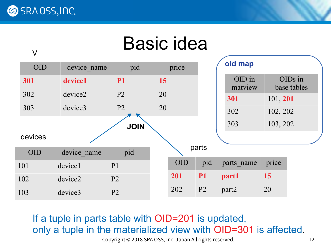V

#### Basic idea

| <b>OID</b> | device name | pid            | price |            |                |                   |          | oid map                |  |  |
|------------|-------------|----------------|-------|------------|----------------|-------------------|----------|------------------------|--|--|
| 301        | device1     | <b>P1</b>      | 15    |            |                | OID in<br>matview |          | OIDs in<br>base tables |  |  |
| 302        | device2     | P <sub>2</sub> | 20    |            |                | 301               | 101, 201 |                        |  |  |
| 303        | device3     | P <sub>2</sub> | 20    |            |                | 302               | 102, 202 |                        |  |  |
|            |             | <b>JOIN</b>    |       |            |                | 303               | 103, 202 |                        |  |  |
| devices    |             |                |       |            |                |                   |          |                        |  |  |
| <b>OID</b> | device name | pid            |       |            | parts          |                   |          |                        |  |  |
| 101        | device1     | P <sub>1</sub> |       | <b>OID</b> | pid            | parts name        | price    |                        |  |  |
| 102        | device2     | P <sub>2</sub> |       | 201        | <b>P1</b>      | part1             | 15       |                        |  |  |
| 103        | device3     | P <sub>2</sub> |       | 202        | P <sub>2</sub> | part2             | 20       |                        |  |  |

If a tuple in parts table with OID=201 is updated, only a tuple in the materialized view with OID=301 is affected.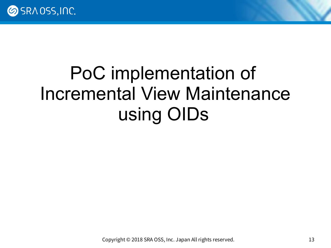

### PoC implementation of Incremental View Maintenance using OIDs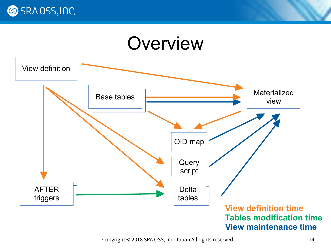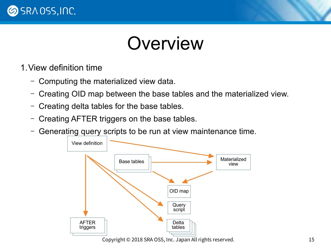

#### Overview

- 1.View definition time
	- Computing the materialized view data.
	- Creating OID map between the base tables and the materialized view.
	- Creating delta tables for the base tables.
	- Creating AFTER triggers on the base tables.
	- Generating query scripts to be run at view maintenance time.

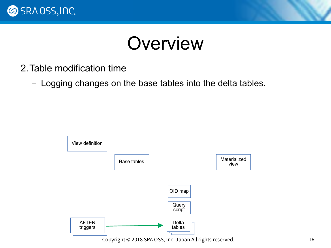

#### **Overview**

- 2.Table modification time
	- Logging changes on the base tables into the delta tables.

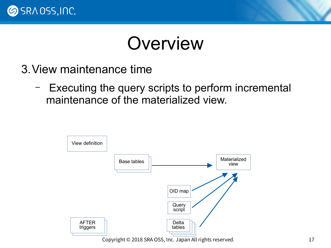

#### **Overview**

- 3.View maintenance time
	- Executing the query scripts to perform incremental maintenance of the materialized view.

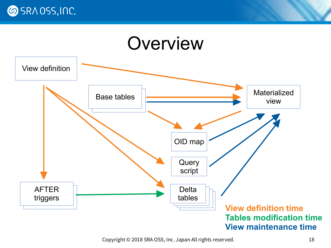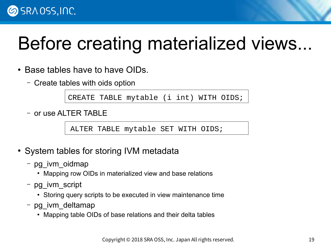## Before creating materialized views...

- Base tables have to have OIDs.
	- Create tables with oids option

CREATE TABLE mytable (i int) WITH OIDS;

– or use ALTER TABLE

ALTER TABLE mytable SET WITH OIDS;

- System tables for storing IVM metadata
	- pg\_ivm\_oidmap
		- Mapping row OIDs in materialized view and base relations
	- pg\_ivm\_script
		- Storing query scripts to be executed in view maintenance time
	- pg\_ivm\_deltamap
		- Mapping table OIDs of base relations and their delta tables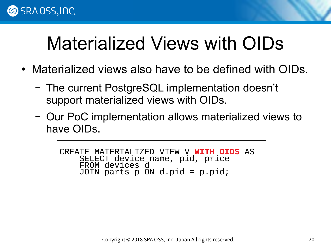

#### Materialized Views with OIDs

- Materialized views also have to be defined with OIDs.
	- The current PostgreSQL implementation doesn't support materialized views with OIDs.
	- Our PoC implementation allows materialized views to have OIDs.

CREATE MATERIALIZED VIEW V **WITH OIDS** AS SELECT device\_name, pid, price FROM devices d  $JOIN$  parts  $\overline{p}$  ON d.pid = p.pid;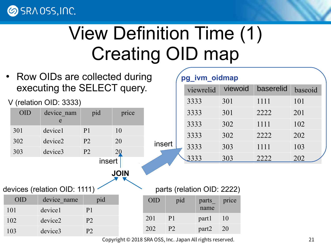**SRAOSS, INC.** 

## View Definition Time (1) Creating OID map

Row OIDs are collected during executing the SELECT query.

V (relation OID: 3333)

| OID | device nam<br>e | pid            | price       |
|-----|-----------------|----------------|-------------|
| 301 | device1         | P <sub>1</sub> | 10          |
| 302 | device2         | P <sub>2</sub> | 20          |
| 303 | device3         | P <sub>2</sub> | 20          |
|     |                 | insert         |             |
|     |                 |                | <b>JOIN</b> |

|  | devices (relation OID: 1111) $\le$ |  |  |  |
|--|------------------------------------|--|--|--|
|--|------------------------------------|--|--|--|

| (III) | device name | pid            |
|-------|-------------|----------------|
| 101   | device1     | P <sub>1</sub> |
| 102   | device2     | P <sub>2</sub> |
| 103   | device3     | $\mathbf{p}$   |

|        | pg_ivm_oidmap |           |         |           |         |  |  |  |  |
|--------|---------------|-----------|---------|-----------|---------|--|--|--|--|
|        |               | viewrelid | viewoid | baserelid | baseoid |  |  |  |  |
|        |               | 3333      | 301     | 1111      | 101     |  |  |  |  |
|        |               | 3333      | 301     | 2222      | 201     |  |  |  |  |
|        |               | 3333      | 302     | 1111      | 102     |  |  |  |  |
|        |               | 3333      | 302     | 2222      | 202     |  |  |  |  |
| insert |               | 3333      | 303     | 1111      | 103     |  |  |  |  |
|        |               |           | 303     | 2222      | 202     |  |  |  |  |

Copyright © 2018 SRA OSS, Inc. Japan All rights reserved. 21

OID pid parts

201 P1 part1 10

202 P2 part2 20

name

parts (relation OID: 2222)

price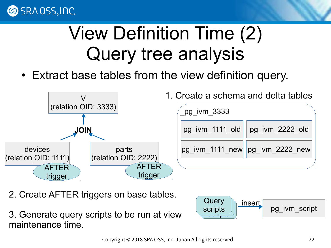

## View Definition Time (2) Query tree analysis

• Extract base tables from the view definition query.



- 2. Create AFTER triggers on base tables.
- 3. Generate query scripts to be run at view maintenance time.

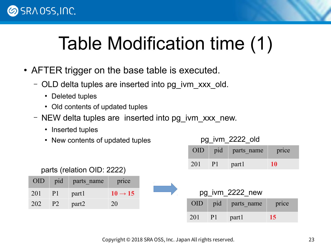

## Table Modification time (1)

- AFTER trigger on the base table is executed.
	- OLD delta tuples are inserted into pg\_ivm\_xxx\_old.
		- Deleted tuples
		- Old contents of updated tuples
	- NEW delta tuples are inserted into pg\_ivm\_xxx\_new.
		- Inserted tuples
		- New contents of updated tuples

#### parts (relation OID: 2222)

| <b>OID</b> | pid            | parts name | price               |
|------------|----------------|------------|---------------------|
| 201        | P <sub>1</sub> | part1      | $10 \rightarrow 15$ |
| 202        | P <sub>2</sub> | part2      | 20                  |

#### pg\_ivm\_2222\_old

| <b>OID</b> | pid | parts_name | price |
|------------|-----|------------|-------|
| 201        |     | part1      | W     |



| <b>OID</b> | pid | parts_name | price |
|------------|-----|------------|-------|
| 201        |     | partl      | 15.   |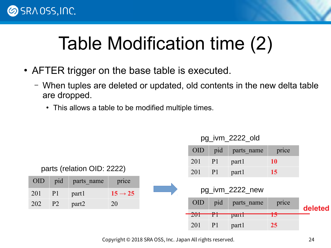

## Table Modification time (2)

- AFTER trigger on the base table is executed.
	- When tuples are deleted or updated, old contents in the new delta table are dropped.
		- This allows a table to be modified multiple times.



pg\_ivm\_2222\_old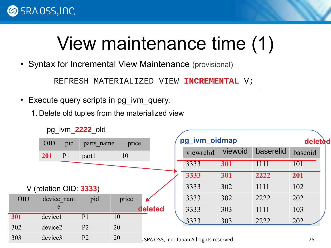

## View maintenance time (1)

• Syntax for Incremental View Maintenance (provisional)

REFRESH MATERIALIZED VIEW **INCREMENTAL** V;

• Execute query scripts in pg\_ivm\_query.

pg\_ivm\_**2222**\_old

1. Delete old tuples from the materialized view

|            |                        |                | py ivili <b>ZZZZ</b> Ulu |                 |         |                                        |         |           |         |
|------------|------------------------|----------------|--------------------------|-----------------|---------|----------------------------------------|---------|-----------|---------|
|            | <b>OID</b>             | pid            | parts name               | price           |         | pg_ivm_oidmap                          |         |           | deleted |
|            | 201                    | P <sub>1</sub> | part1                    | 10              |         | viewrelid                              | viewoid | baserelid | baseoid |
|            |                        |                |                          |                 |         | 3333                                   | 301     |           | 101     |
|            |                        |                |                          |                 |         | 3333                                   | 301     | 2222      | 201     |
|            | V (relation OID: 3333) |                |                          |                 |         | 3333                                   | 302     | 1111      | 102     |
| <b>OID</b> | device nam             |                | pid                      | price           |         | 3333                                   | 302     | 2222      | 202     |
|            | e                      |                |                          |                 | deleted | 3333                                   | 303     | 1111      | 103     |
| 301        | device1                |                | P1                       | $\overline{10}$ |         | 3333                                   | 303     | 2222      | 202     |
| 302        | device2                |                | P <sub>2</sub>           | 20              |         |                                        |         |           |         |
| 303        | device3                |                | P <sub>2</sub>           | 20              |         | SRA OSS Inc. Janan All rights reserved |         |           | つら      |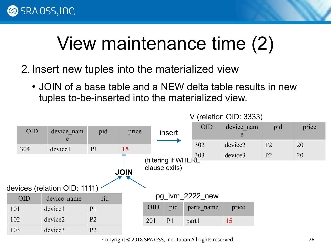

## View maintenance time (2)

- 2. Insert new tuples into the materialized view
	- JOIN of a base table and a NEW delta table results in new tuples to-be-inserted into the materialized view.

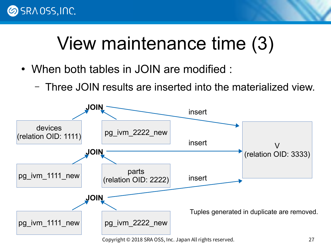

## View maintenance time (3)

- When both tables in JOIN are modified :
	- Three JOIN results are inserted into the materialized view.

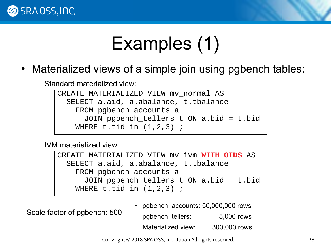

## Examples (1)

• Materialized views of a simple join using pgbench tables:

Standard materialized view:

```
CREATE MATERIALIZED VIEW mv normal AS
   SELECT a.aid, a.abalance, t.tbalance
     FROM pgbench_accounts a
       JOIN pgbench_tellers t ON a.bid = t.bid
    WHERE t.tid in (1,2,3);
```
IVM materialized view:

CREATE MATERIALIZED VIEW mv\_ivm **WITH OIDS** AS SELECT a.aid, a.abalance, t.tbalance FROM pgbench\_accounts a JOIN pgbench\_tellers t ON a.bid = t.bid WHERE  $t.tid$  in  $(1,2,3)$ ;

Scale factor of pgbench: 500

– pgbench\_accounts: 50,000,000 rows

– pgbench\_tellers: 5,000 rows

– Materialized view: 300,000 rows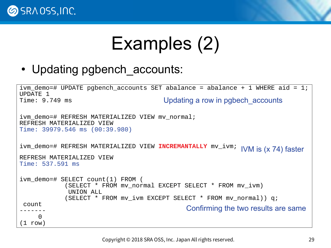

## Examples (2)

• Updating pgbench accounts:

```
ivm_demo=# UPDATE pgbench_accounts SET abalance = abalance + 1 WHERE aid = 1;
UPDATE 1
Time: 9.749 ms
ivm demo=# REFRESH MATERIALIZED VIEW mv normal;
REFRESH MATERIALIZED VIEW
Time: 39979.546 ms (00:39.980)
ivm_demo=# REFRESH MATERIALIZED VIEW INCREMANTALLY mv_ivm; 
REFRESH MATERIALIZED VIEW
Time: 537.591 ms
ivm_demo=# SELECT count(1) FROM (
              (SELECT * FROM mv_normal EXCEPT SELECT * FROM mv_ivm) 
               UNION ALL 
              (SELECT * FROM mv_ivm EXCEPT SELECT * FROM mv_normal)) q;
 count 
-------
     \boldsymbol{\Theta}(1 row)
                                         Updating a row in pgbech accounts
                                                Confirming the two results are same
                                                               IVM is (x 74) faster
```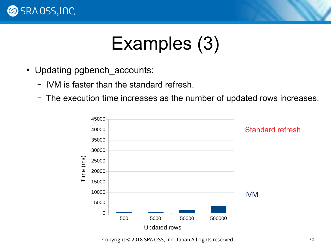

#### Examples (3)

- Updating pgbench accounts:
	- IVM is faster than the standard refresh.
	- The execution time increases as the number of updated rows increases.

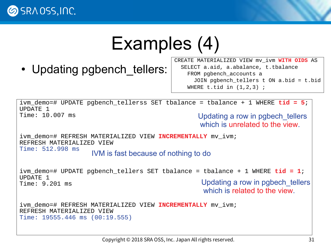

#### Examples (4)

• Updating pgbench tellers:

CREATE MATERIALIZED VIEW mv\_ivm **WITH OIDS** AS SELECT a.aid, a.abalance, t.tbalance FROM pgbench accounts a JOIN pgbench\_tellers t ON a.bid = t.bid WHERE  $t.tid$  in  $(1,2,3)$ ;

ivm demo=# UPDATE pgbench tellerss SET tbalance = tbalance + 1 WHERE  $tid = 5$ ; UPDATE 1 Time: 10.007 ms Updating a row in pgbech tellers which is unrelated to the view.

ivm\_demo=# REFRESH MATERIALIZED VIEW **INCREMENTALLY** mv\_ivm; REFRESH MATERIALIZED VIEW Time: 512.998 ms

IVM is fast because of nothing to do

ivm\_demo=# UPDATE pgbench\_tellers SET tbalance = tbalance + 1 WHERE **tid = 1**; UPDATE 1 Time: 9.201 ms Updating a row in pgbech\_tellers

which is related to the view.

ivm\_demo=# REFRESH MATERIALIZED VIEW **INCREMENTALLY** mv\_ivm; REFRESH MATERIALIZED VIEW Time: 19555.446 ms (00:19.555)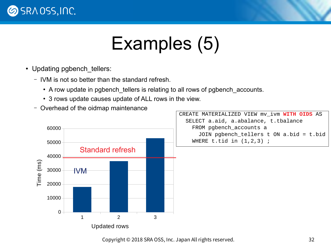

## Examples (5)

- Updating pgbench tellers:
	- IVM is not so better than the standard refresh.
		- A row update in pgbench tellers is relating to all rows of pgbench accounts.
		- 3 rows update causes update of ALL rows in the view.
	- Overhead of the oidmap maintenance

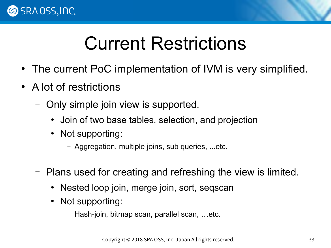

#### Current Restrictions

- The current PoC implementation of IVM is very simplified.
- A lot of restrictions
	- Only simple join view is supported.
		- Join of two base tables, selection, and projection
		- Not supporting:
			- Aggregation, multiple joins, sub queries, ...etc.
	- Plans used for creating and refreshing the view is limited.
		- Nested loop join, merge join, sort, seqscan
		- Not supporting:
			- Hash-join, bitmap scan, parallel scan, …etc.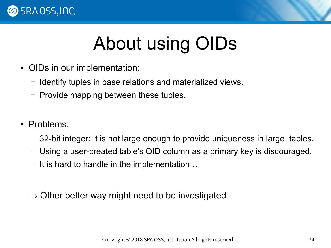

## About using OIDs

- OIDs in our implementation:
	- Identify tuples in base relations and materialized views.
	- Provide mapping between these tuples.
- Problems:
	- 32-bit integer: It is not large enough to provide uniqueness in large tables.
	- Using a user-created table's OID column as a primary key is discouraged.
	- It is hard to handle in the implementation …
	- $\rightarrow$  Other better way might need to be investigated.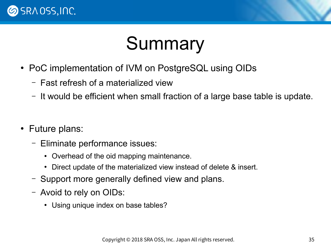



- PoC implementation of IVM on PostgreSQL using OIDs
	- Fast refresh of a materialized view
	- It would be efficient when small fraction of a large base table is update.
- Future plans:
	- Eliminate performance issues:
		- Overhead of the oid mapping maintenance.
		- Direct update of the materialized view instead of delete & insert.
	- Support more generally defined view and plans.
	- Avoid to rely on OIDs:
		- Using unique index on base tables?